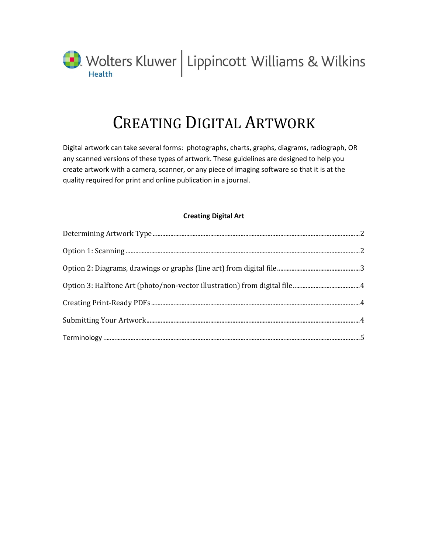

# CREATING DIGITAL ARTWORK

Digital artwork can take several forms: photographs, charts, graphs, diagrams, radiograph, OR any scanned versions of these types of artwork. These guidelines are designed to help you create artwork with a camera, scanner, or any piece of imaging software so that it is at the quality required for print and online publication in a journal.

#### **Creating Digital Art**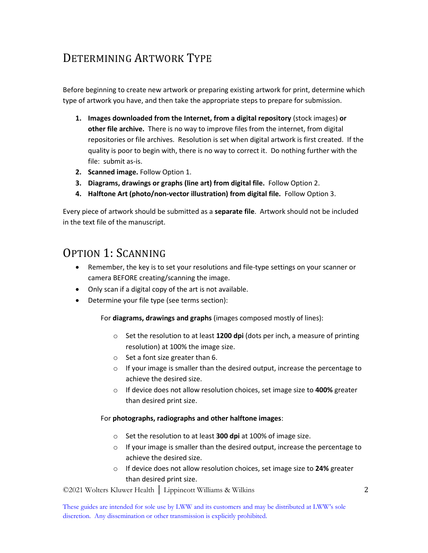## <span id="page-1-0"></span>DETERMINING ARTWORK TYPE

Before beginning to create new artwork or preparing existing artwork for print, determine which type of artwork you have, and then take the appropriate steps to prepare for submission.

- **1. Images downloaded from the Internet, from a digital repository** (stock images) **or other file archive.** There is no way to improve files from the internet, from digital repositories or file archives. Resolution is set when digital artwork is first created. If the quality is poor to begin with, there is no way to correct it. Do nothing further with the file: submit as-is.
- **2. Scanned image.** Follow Option 1.
- **3. Diagrams, drawings or graphs (line art) from digital file.** Follow Option 2.
- **4. Halftone Art (photo/non-vector illustration) from digital file.** Follow Option 3.

Every piece of artwork should be submitted as a **separate file**. Artwork should not be included in the text file of the manuscript.

### <span id="page-1-1"></span>OPTION 1: SCANNING

- Remember, the key is to set your resolutions and file-type settings on your scanner or camera BEFORE creating/scanning the image.
- Only scan if a digital copy of the art is not available.
- Determine your file type (see terms section):

For **diagrams, drawings and graphs** (images composed mostly of lines):

- o Set the resolution to at least **1200 dpi** (dots per inch, a measure of printing resolution) at 100% the image size.
- o Set a font size greater than 6.
- o If your image is smaller than the desired output, increase the percentage to achieve the desired size.
- o If device does not allow resolution choices, set image size to **400%** greater than desired print size.

#### For **photographs, radiographs and other halftone images**:

- o Set the resolution to at least **300 dpi** at 100% of image size.
- $\circ$  If your image is smaller than the desired output, increase the percentage to achieve the desired size.
- o If device does not allow resolution choices, set image size to **24%** greater than desired print size.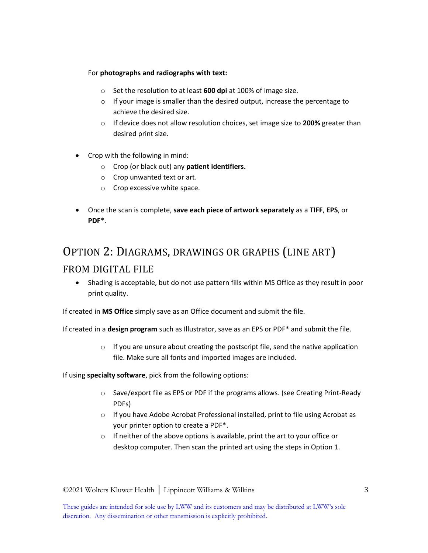#### For **photographs and radiographs with text:**

- o Set the resolution to at least **600 dpi** at 100% of image size.
- $\circ$  If your image is smaller than the desired output, increase the percentage to achieve the desired size.
- o If device does not allow resolution choices, set image size to **200%** greater than desired print size.
- Crop with the following in mind:
	- o Crop (or black out) any **patient identifiers.**
	- o Crop unwanted text or art.
	- o Crop excessive white space.
- Once the scan is complete, **save each piece of artwork separately** as a **TIFF**, **EPS**, or **PDF**\*.

# <span id="page-2-0"></span>OPTION 2: DIAGRAMS, DRAWINGS OR GRAPHS (LINE ART) FROM DIGITAL FILE

 Shading is acceptable, but do not use pattern fills within MS Office as they result in poor print quality.

If created in **MS Office** simply save as an Office document and submit the file.

If created in a **design program** such as Illustrator, save as an EPS or PDF\* and submit the file.

 $\circ$  If you are unsure about creating the postscript file, send the native application file. Make sure all fonts and imported images are included.

If using **specialty software**, pick from the following options:

- $\circ$  Save/export file as EPS or PDF if the programs allows. (see Creating Print-Ready PDFs)
- o If you have Adobe Acrobat Professional installed, print to file using Acrobat as your printer option to create a PDF\*.
- $\circ$  If neither of the above options is available, print the art to your office or desktop computer. Then scan the printed art using the steps in Option 1.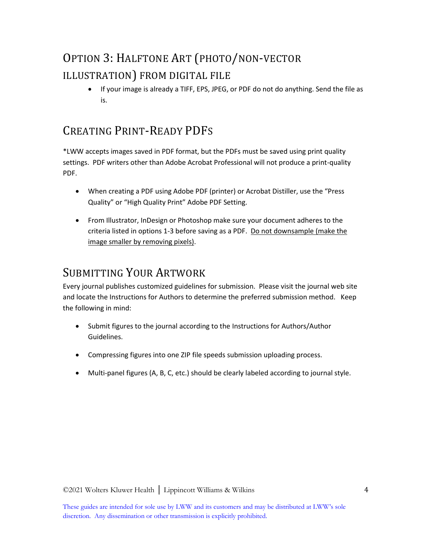# <span id="page-3-0"></span>OPTION 3: HALFTONE ART (PHOTO/NON-VECTOR ILLUSTRATION) FROM DIGITAL FILE

 If your image is already a TIFF, EPS, JPEG, or PDF do not do anything. Send the file as is.

## <span id="page-3-1"></span>CREATING PRINT-READY PDFS

\*LWW accepts images saved in PDF format, but the PDFs must be saved using print quality settings. PDF writers other than Adobe Acrobat Professional will not produce a print-quality PDF.

- When creating a PDF using Adobe PDF (printer) or Acrobat Distiller, use the "Press Quality" or "High Quality Print" Adobe PDF Setting.
- From Illustrator, InDesign or Photoshop make sure your document adheres to the criteria listed in options 1-3 before saving as a PDF. Do not downsample (make the image smaller by removing pixels).

### <span id="page-3-2"></span>SUBMITTING YOUR ARTWORK

Every journal publishes customized guidelines for submission. Please visit the journal web site and locate the Instructions for Authors to determine the preferred submission method. Keep the following in mind:

- Submit figures to the journal according to the Instructions for Authors/Author Guidelines.
- Compressing figures into one ZIP file speeds submission uploading process.
- Multi-panel figures (A, B, C, etc.) should be clearly labeled according to journal style.